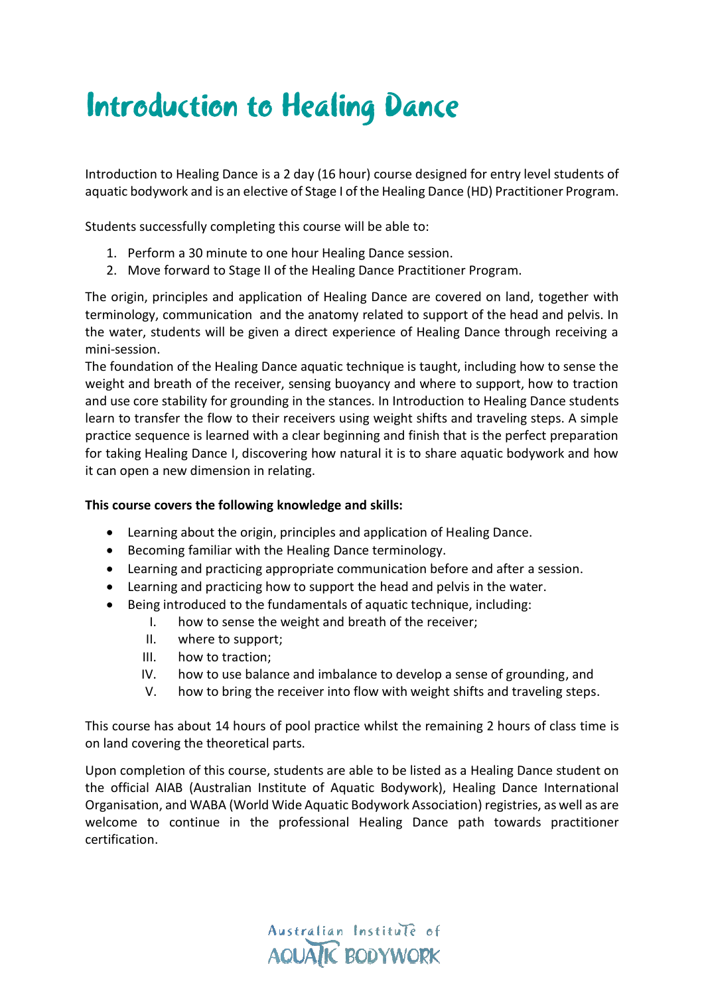## Introduction to Healing Dance

Introduction to Healing Dance is a 2 day (16 hour) course designed for entry level students of aquatic bodywork and is an elective of Stage I of the Healing Dance (HD) Practitioner Program.

Students successfully completing this course will be able to:

- 1. Perform a 30 minute to one hour Healing Dance session.
- 2. Move forward to Stage II of the Healing Dance Practitioner Program.

The origin, principles and application of Healing Dance are covered on land, together with terminology, communication and the anatomy related to support of the head and pelvis. In the water, students will be given a direct experience of Healing Dance through receiving a mini-session.

The foundation of the Healing Dance aquatic technique is taught, including how to sense the weight and breath of the receiver, sensing buoyancy and where to support, how to traction and use core stability for grounding in the stances. In Introduction to Healing Dance students learn to transfer the flow to their receivers using weight shifts and traveling steps. A simple practice sequence is learned with a clear beginning and finish that is the perfect preparation for taking Healing Dance I, discovering how natural it is to share aquatic bodywork and how it can open a new dimension in relating.

## **This course covers the following knowledge and skills:**

- Learning about the origin, principles and application of Healing Dance.
- Becoming familiar with the Healing Dance terminology.
- Learning and practicing appropriate communication before and after a session.
- Learning and practicing how to support the head and pelvis in the water.
- Being introduced to the fundamentals of aquatic technique, including:
	- I. how to sense the weight and breath of the receiver;
	- II. where to support;
	- III. how to traction;
	- IV. how to use balance and imbalance to develop a sense of grounding, and
	- V. how to bring the receiver into flow with weight shifts and traveling steps.

This course has about 14 hours of pool practice whilst the remaining 2 hours of class time is on land covering the theoretical parts.

Upon completion of this course, students are able to be listed as a Healing Dance student on the official AIAB (Australian Institute of Aquatic Bodywork), Healing Dance International Organisation, and WABA (World Wide Aquatic Bodywork Association) registries, as well as are welcome to continue in the professional Healing Dance path towards practitioner certification.

> Australian Institute of **AQUATIC BODYWORK**